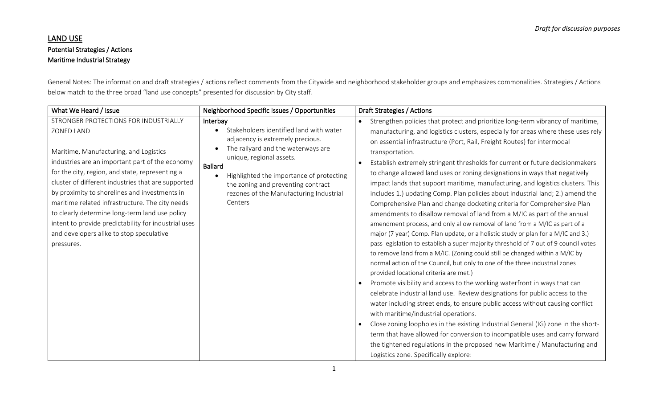# LAND USE Potential Strategies / Actions Maritime Industrial Strategy

General Notes: The information and draft strategies / actions reflect comments from the Citywide and neighborhood stakeholder groups and emphasizes commonalities. Strategies / Actions below match to the three broad "land use concepts" presented for discussion by City staff.

| What We Heard / Issue                                                                                                                                                                                                                                                                                                                                                                                                                                                                                                             | Neighborhood Specific Issues / Opportunities                                                                                                                                                                                                                                                                                                  | Draft Strategies / Actions                                                                                                                                                                                                                                                                                                                                                                                                                                                                                                                                                                                                                                                                                                                                                                                                                                                                                                                                                                                                                                                                                                                                                                                                                                                                                                                                                                                                                                                                                                                                                                                                                                                                                                                                                                                      |
|-----------------------------------------------------------------------------------------------------------------------------------------------------------------------------------------------------------------------------------------------------------------------------------------------------------------------------------------------------------------------------------------------------------------------------------------------------------------------------------------------------------------------------------|-----------------------------------------------------------------------------------------------------------------------------------------------------------------------------------------------------------------------------------------------------------------------------------------------------------------------------------------------|-----------------------------------------------------------------------------------------------------------------------------------------------------------------------------------------------------------------------------------------------------------------------------------------------------------------------------------------------------------------------------------------------------------------------------------------------------------------------------------------------------------------------------------------------------------------------------------------------------------------------------------------------------------------------------------------------------------------------------------------------------------------------------------------------------------------------------------------------------------------------------------------------------------------------------------------------------------------------------------------------------------------------------------------------------------------------------------------------------------------------------------------------------------------------------------------------------------------------------------------------------------------------------------------------------------------------------------------------------------------------------------------------------------------------------------------------------------------------------------------------------------------------------------------------------------------------------------------------------------------------------------------------------------------------------------------------------------------------------------------------------------------------------------------------------------------|
| STRONGER PROTECTIONS FOR INDUSTRIALLY<br>ZONED LAND<br>Maritime, Manufacturing, and Logistics<br>industries are an important part of the economy<br>for the city, region, and state, representing a<br>cluster of different industries that are supported<br>by proximity to shorelines and investments in<br>maritime related infrastructure. The city needs<br>to clearly determine long-term land use policy<br>intent to provide predictability for industrial uses<br>and developers alike to stop speculative<br>pressures. | Interbay<br>Stakeholders identified land with water<br>adjacency is extremely precious.<br>The railyard and the waterways are<br>$\bullet$<br>unique, regional assets.<br><b>Ballard</b><br>Highlighted the importance of protecting<br>$\bullet$<br>the zoning and preventing contract<br>rezones of the Manufacturing Industrial<br>Centers | Strengthen policies that protect and prioritize long-term vibrancy of maritime,<br>manufacturing, and logistics clusters, especially for areas where these uses rely<br>on essential infrastructure (Port, Rail, Freight Routes) for intermodal<br>transportation.<br>Establish extremely stringent thresholds for current or future decisionmakers<br>to change allowed land uses or zoning designations in ways that negatively<br>impact lands that support maritime, manufacturing, and logistics clusters. This<br>includes 1.) updating Comp. Plan policies about industrial land; 2.) amend the<br>Comprehensive Plan and change docketing criteria for Comprehensive Plan<br>amendments to disallow removal of land from a M/IC as part of the annual<br>amendment process, and only allow removal of land from a M/IC as part of a<br>major (7 year) Comp. Plan update, or a holistic study or plan for a M/IC and 3.)<br>pass legislation to establish a super majority threshold of 7 out of 9 council votes<br>to remove land from a M/IC. (Zoning could still be changed within a M/IC by<br>normal action of the Council, but only to one of the three industrial zones<br>provided locational criteria are met.)<br>Promote visibility and access to the working waterfront in ways that can<br>celebrate industrial land use. Review designations for public access to the<br>water including street ends, to ensure public access without causing conflict<br>with maritime/industrial operations.<br>Close zoning loopholes in the existing Industrial General (IG) zone in the short-<br>term that have allowed for conversion to incompatible uses and carry forward<br>the tightened regulations in the proposed new Maritime / Manufacturing and<br>Logistics zone. Specifically explore: |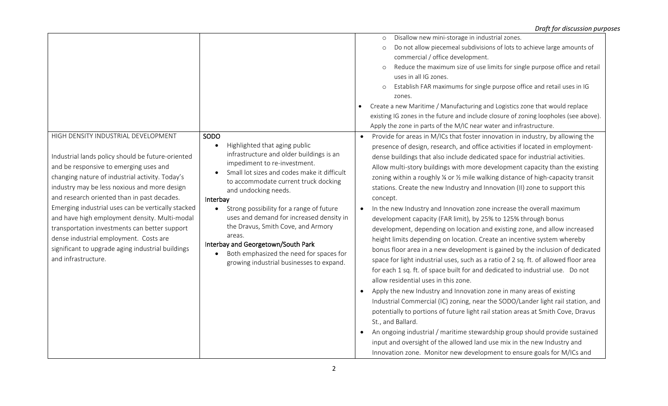|                                                                                                                                                                                                       |                                                                             | Disallow new mini-storage in industrial zones.<br>$\circ$                                   |
|-------------------------------------------------------------------------------------------------------------------------------------------------------------------------------------------------------|-----------------------------------------------------------------------------|---------------------------------------------------------------------------------------------|
|                                                                                                                                                                                                       |                                                                             | Do not allow piecemeal subdivisions of lots to achieve large amounts of<br>$\circ$          |
|                                                                                                                                                                                                       |                                                                             | commercial / office development.                                                            |
|                                                                                                                                                                                                       |                                                                             | Reduce the maximum size of use limits for single purpose office and retail<br>$\circ$       |
|                                                                                                                                                                                                       |                                                                             | uses in all IG zones.                                                                       |
|                                                                                                                                                                                                       |                                                                             | Establish FAR maximums for single purpose office and retail uses in IG<br>$\circ$           |
|                                                                                                                                                                                                       |                                                                             | zones.                                                                                      |
|                                                                                                                                                                                                       |                                                                             | Create a new Maritime / Manufacturing and Logistics zone that would replace                 |
|                                                                                                                                                                                                       |                                                                             | existing IG zones in the future and include closure of zoning loopholes (see above).        |
|                                                                                                                                                                                                       |                                                                             | Apply the zone in parts of the M/IC near water and infrastructure.                          |
| HIGH DENSITY INDUSTRIAL DEVELOPMENT                                                                                                                                                                   | SODO                                                                        | Provide for areas in M/ICs that foster innovation in industry, by allowing the<br>$\bullet$ |
|                                                                                                                                                                                                       | Highlighted that aging public                                               | presence of design, research, and office activities if located in employment-               |
| Industrial lands policy should be future-oriented                                                                                                                                                     | infrastructure and older buildings is an                                    | dense buildings that also include dedicated space for industrial activities.                |
| and be responsive to emerging uses and                                                                                                                                                                | impediment to re-investment.<br>Small lot sizes and codes make it difficult | Allow multi-story buildings with more development capacity than the existing                |
| changing nature of industrial activity. Today's                                                                                                                                                       | to accommodate current truck docking                                        | zoning within a roughly % or % mile walking distance of high-capacity transit               |
| industry may be less noxious and more design                                                                                                                                                          | and undocking needs.<br>Interbay                                            | stations. Create the new Industry and Innovation (II) zone to support this                  |
| and research oriented than in past decades.                                                                                                                                                           |                                                                             | concept.                                                                                    |
| Emerging industrial uses can be vertically stacked                                                                                                                                                    | Strong possibility for a range of future                                    | In the new Industry and Innovation zone increase the overall maximum<br>$\bullet$           |
| and have high employment density. Multi-modal                                                                                                                                                         | uses and demand for increased density in                                    | development capacity (FAR limit), by 25% to 125% through bonus                              |
| transportation investments can better support                                                                                                                                                         | the Dravus, Smith Cove, and Armory                                          | development, depending on location and existing zone, and allow increased                   |
| dense industrial employment. Costs are                                                                                                                                                                | areas.                                                                      | height limits depending on location. Create an incentive system whereby                     |
| Interbay and Georgetown/South Park<br>significant to upgrade aging industrial buildings<br>Both emphasized the need for spaces for<br>and infrastructure.<br>growing industrial businesses to expand. |                                                                             | bonus floor area in a new development is gained by the inclusion of dedicated               |
|                                                                                                                                                                                                       |                                                                             | space for light industrial uses, such as a ratio of 2 sq. ft. of allowed floor area         |
|                                                                                                                                                                                                       |                                                                             | for each 1 sq. ft. of space built for and dedicated to industrial use. Do not               |
|                                                                                                                                                                                                       | allow residential uses in this zone.                                        |                                                                                             |
|                                                                                                                                                                                                       |                                                                             | Apply the new Industry and Innovation zone in many areas of existing                        |
|                                                                                                                                                                                                       |                                                                             | Industrial Commercial (IC) zoning, near the SODO/Lander light rail station, and             |
|                                                                                                                                                                                                       |                                                                             | potentially to portions of future light rail station areas at Smith Cove, Dravus            |
|                                                                                                                                                                                                       |                                                                             | St., and Ballard.                                                                           |
|                                                                                                                                                                                                       |                                                                             | An ongoing industrial / maritime stewardship group should provide sustained<br>$\bullet$    |
|                                                                                                                                                                                                       |                                                                             | input and oversight of the allowed land use mix in the new Industry and                     |
|                                                                                                                                                                                                       |                                                                             | Innovation zone. Monitor new development to ensure goals for M/ICs and                      |
|                                                                                                                                                                                                       |                                                                             |                                                                                             |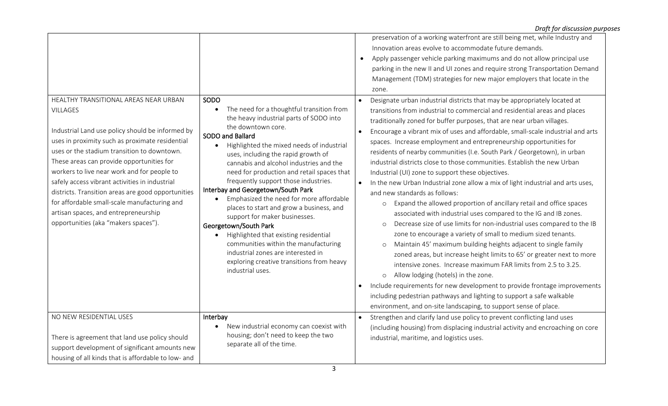|                                                                                                                                                                                                                                                                                                                                                                                                                                                                                                            |                                                                                                                                                                                                                                                                                                                                                                                                                                                                                                                                                                 | Draft for discussion purposes                                                                                                                                                                                                                                                                                                                                                                                                                                                                                                                                                                                                                                                                                                                                                                                                                                                                                                                                                                                                                                                                                                                                                                                                                                                                                                                                                           |
|------------------------------------------------------------------------------------------------------------------------------------------------------------------------------------------------------------------------------------------------------------------------------------------------------------------------------------------------------------------------------------------------------------------------------------------------------------------------------------------------------------|-----------------------------------------------------------------------------------------------------------------------------------------------------------------------------------------------------------------------------------------------------------------------------------------------------------------------------------------------------------------------------------------------------------------------------------------------------------------------------------------------------------------------------------------------------------------|-----------------------------------------------------------------------------------------------------------------------------------------------------------------------------------------------------------------------------------------------------------------------------------------------------------------------------------------------------------------------------------------------------------------------------------------------------------------------------------------------------------------------------------------------------------------------------------------------------------------------------------------------------------------------------------------------------------------------------------------------------------------------------------------------------------------------------------------------------------------------------------------------------------------------------------------------------------------------------------------------------------------------------------------------------------------------------------------------------------------------------------------------------------------------------------------------------------------------------------------------------------------------------------------------------------------------------------------------------------------------------------------|
| HEALTHY TRANSITIONAL AREAS NEAR URBAN<br><b>VILLAGES</b><br>Industrial Land use policy should be informed by<br>uses in proximity such as proximate residential<br>uses or the stadium transition to downtown.<br>These areas can provide opportunities for<br>workers to live near work and for people to<br>safely access vibrant activities in industrial<br>districts. Transition areas are good opportunities<br>for affordable small-scale manufacturing and<br>artisan spaces, and entrepreneurship | SODO<br>The need for a thoughtful transition from<br>the heavy industrial parts of SODO into<br>the downtown core.<br>SODO and Ballard<br>Highlighted the mixed needs of industrial<br>uses, including the rapid growth of<br>cannabis and alcohol industries and the<br>need for production and retail spaces that<br>frequently support those industries.<br>Interbay and Georgetown/South Park<br>Emphasized the need for more affordable<br>$\bullet$<br>places to start and grow a business, and<br>support for maker businesses.<br>Georgetown/South Park | preservation of a working waterfront are still being met, while Industry and<br>Innovation areas evolve to accommodate future demands.<br>Apply passenger vehicle parking maximums and do not allow principal use<br>$\bullet$<br>parking in the new II and UI zones and require strong Transportation Demand<br>Management (TDM) strategies for new major employers that locate in the<br>zone.<br>Designate urban industrial districts that may be appropriately located at<br>transitions from industrial to commercial and residential areas and places<br>traditionally zoned for buffer purposes, that are near urban villages.<br>Encourage a vibrant mix of uses and affordable, small-scale industrial and arts<br>$\bullet$<br>spaces. Increase employment and entrepreneurship opportunities for<br>residents of nearby communities (I.e. South Park / Georgetown), in urban<br>industrial districts close to those communities. Establish the new Urban<br>Industrial (UI) zone to support these objectives.<br>In the new Urban Industrial zone allow a mix of light industrial and arts uses,<br>and new standards as follows:<br>Expand the allowed proportion of ancillary retail and office spaces<br>$\circ$<br>associated with industrial uses compared to the IG and IB zones.<br>Decrease size of use limits for non-industrial uses compared to the IB<br>$\circ$ |
|                                                                                                                                                                                                                                                                                                                                                                                                                                                                                                            | Highlighted that existing residential<br>$\bullet$<br>communities within the manufacturing<br>industrial zones are interested in<br>exploring creative transitions from heavy<br>industrial uses.                                                                                                                                                                                                                                                                                                                                                               | zone to encourage a variety of small to medium sized tenants.<br>Maintain 45' maximum building heights adjacent to single family<br>$\circ$<br>zoned areas, but increase height limits to 65' or greater next to more<br>intensive zones. Increase maximum FAR limits from 2.5 to 3.25.<br>Allow lodging (hotels) in the zone.<br>$\circ$<br>Include requirements for new development to provide frontage improvements<br>including pedestrian pathways and lighting to support a safe walkable<br>environment, and on-site landscaping, to support sense of place.                                                                                                                                                                                                                                                                                                                                                                                                                                                                                                                                                                                                                                                                                                                                                                                                                     |
| NO NEW RESIDENTIAL USES<br>There is agreement that land use policy should<br>support development of significant amounts new                                                                                                                                                                                                                                                                                                                                                                                | Interbay<br>New industrial economy can coexist with<br>housing; don't need to keep the two<br>separate all of the time.                                                                                                                                                                                                                                                                                                                                                                                                                                         | Strengthen and clarify land use policy to prevent conflicting land uses<br>$\bullet$<br>(including housing) from displacing industrial activity and encroaching on core<br>industrial, maritime, and logistics uses.                                                                                                                                                                                                                                                                                                                                                                                                                                                                                                                                                                                                                                                                                                                                                                                                                                                                                                                                                                                                                                                                                                                                                                    |
| housing of all kinds that is affordable to low- and                                                                                                                                                                                                                                                                                                                                                                                                                                                        |                                                                                                                                                                                                                                                                                                                                                                                                                                                                                                                                                                 |                                                                                                                                                                                                                                                                                                                                                                                                                                                                                                                                                                                                                                                                                                                                                                                                                                                                                                                                                                                                                                                                                                                                                                                                                                                                                                                                                                                         |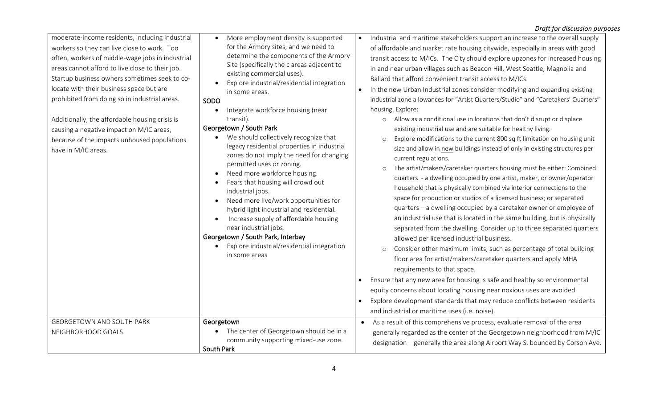| moderate-income residents, including industrial<br>workers so they can live close to work. Too<br>often, workers of middle-wage jobs in industrial<br>areas cannot afford to live close to their job.<br>Startup business owners sometimes seek to co-<br>locate with their business space but are<br>prohibited from doing so in industrial areas.<br>Additionally, the affordable housing crisis is<br>causing a negative impact on M/IC areas,<br>because of the impacts unhoused populations<br>have in M/IC areas. | More employment density is supported<br>for the Armory sites, and we need to<br>determine the components of the Armory<br>Site (specifically the c areas adjacent to<br>existing commercial uses).<br>Explore industrial/residential integration<br>in some areas.<br>SODO<br>Integrate workforce housing (near<br>transit).<br>Georgetown / South Park<br>We should collectively recognize that<br>legacy residential properties in industrial<br>zones do not imply the need for changing<br>permitted uses or zoning.<br>Need more workforce housing.<br>$\bullet$<br>Fears that housing will crowd out<br>industrial jobs.<br>Need more live/work opportunities for<br>$\bullet$<br>hybrid light industrial and residential.<br>Increase supply of affordable housing<br>near industrial jobs.<br>Georgetown / South Park, Interbay<br>Explore industrial/residential integration<br>in some areas | Industrial and maritime stakeholders support an increase to the overall supply<br>of affordable and market rate housing citywide, especially in areas with good<br>transit access to M/ICs. The City should explore upzones for increased housing<br>in and near urban villages such as Beacon Hill, West Seattle, Magnolia and<br>Ballard that afford convenient transit access to M/ICs.<br>In the new Urban Industrial zones consider modifying and expanding existing<br>industrial zone allowances for "Artist Quarters/Studio" and "Caretakers' Quarters"<br>housing. Explore:<br>Allow as a conditional use in locations that don't disrupt or displace<br>$\circ$<br>existing industrial use and are suitable for healthy living.<br>Explore modifications to the current 800 sq ft limitation on housing unit<br>$\circ$<br>size and allow in new buildings instead of only in existing structures per<br>current regulations.<br>The artist/makers/caretaker quarters housing must be either: Combined<br>$\circ$<br>quarters - a dwelling occupied by one artist, maker, or owner/operator<br>household that is physically combined via interior connections to the<br>space for production or studios of a licensed business; or separated<br>quarters - a dwelling occupied by a caretaker owner or employee of<br>an industrial use that is located in the same building, but is physically<br>separated from the dwelling. Consider up to three separated quarters<br>allowed per licensed industrial business.<br>Consider other maximum limits, such as percentage of total building<br>$\circ$<br>floor area for artist/makers/caretaker quarters and apply MHA<br>requirements to that space.<br>Ensure that any new area for housing is safe and healthy so environmental<br>equity concerns about locating housing near noxious uses are avoided.<br>Explore development standards that may reduce conflicts between residents<br>and industrial or maritime uses (i.e. noise). |
|-------------------------------------------------------------------------------------------------------------------------------------------------------------------------------------------------------------------------------------------------------------------------------------------------------------------------------------------------------------------------------------------------------------------------------------------------------------------------------------------------------------------------|--------------------------------------------------------------------------------------------------------------------------------------------------------------------------------------------------------------------------------------------------------------------------------------------------------------------------------------------------------------------------------------------------------------------------------------------------------------------------------------------------------------------------------------------------------------------------------------------------------------------------------------------------------------------------------------------------------------------------------------------------------------------------------------------------------------------------------------------------------------------------------------------------------|------------------------------------------------------------------------------------------------------------------------------------------------------------------------------------------------------------------------------------------------------------------------------------------------------------------------------------------------------------------------------------------------------------------------------------------------------------------------------------------------------------------------------------------------------------------------------------------------------------------------------------------------------------------------------------------------------------------------------------------------------------------------------------------------------------------------------------------------------------------------------------------------------------------------------------------------------------------------------------------------------------------------------------------------------------------------------------------------------------------------------------------------------------------------------------------------------------------------------------------------------------------------------------------------------------------------------------------------------------------------------------------------------------------------------------------------------------------------------------------------------------------------------------------------------------------------------------------------------------------------------------------------------------------------------------------------------------------------------------------------------------------------------------------------------------------------------------------------------------------------------------------------------------------------------------------------------------------------------------------------------|
| <b>GEORGETOWN AND SOUTH PARK</b><br>NEIGHBORHOOD GOALS                                                                                                                                                                                                                                                                                                                                                                                                                                                                  | Georgetown<br>The center of Georgetown should be in a<br>community supporting mixed-use zone.<br>South Park                                                                                                                                                                                                                                                                                                                                                                                                                                                                                                                                                                                                                                                                                                                                                                                            | As a result of this comprehensive process, evaluate removal of the area<br>$\bullet$<br>generally regarded as the center of the Georgetown neighborhood from M/IC<br>designation - generally the area along Airport Way S. bounded by Corson Ave.                                                                                                                                                                                                                                                                                                                                                                                                                                                                                                                                                                                                                                                                                                                                                                                                                                                                                                                                                                                                                                                                                                                                                                                                                                                                                                                                                                                                                                                                                                                                                                                                                                                                                                                                                    |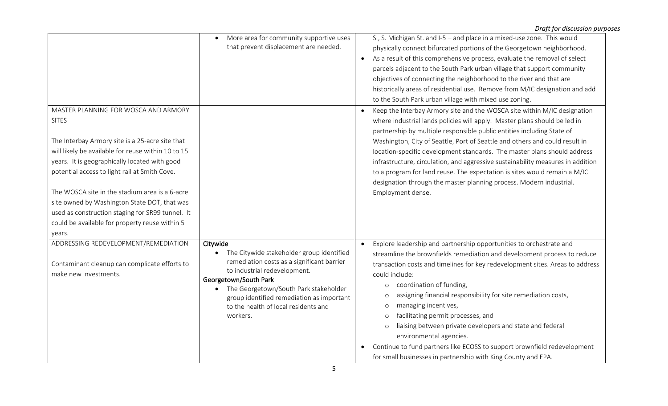| MASTER PLANNING FOR WOSCA AND ARMORY<br><b>SITES</b>                                                                                                                                                                                                                                                                                                                                                                      | More area for community supportive uses<br>that prevent displacement are needed.                                                                                                                                                                                                                       | S., S. Michigan St. and I-5 - and place in a mixed-use zone. This would<br>physically connect bifurcated portions of the Georgetown neighborhood.<br>As a result of this comprehensive process, evaluate the removal of select<br>$\bullet$<br>parcels adjacent to the South Park urban village that support community<br>objectives of connecting the neighborhood to the river and that are<br>historically areas of residential use. Remove from M/IC designation and add<br>to the South Park urban village with mixed use zoning.<br>Keep the Interbay Armory site and the WOSCA site within M/IC designation<br>$\bullet$<br>where industrial lands policies will apply. Master plans should be led in<br>partnership by multiple responsible public entities including State of |
|---------------------------------------------------------------------------------------------------------------------------------------------------------------------------------------------------------------------------------------------------------------------------------------------------------------------------------------------------------------------------------------------------------------------------|--------------------------------------------------------------------------------------------------------------------------------------------------------------------------------------------------------------------------------------------------------------------------------------------------------|----------------------------------------------------------------------------------------------------------------------------------------------------------------------------------------------------------------------------------------------------------------------------------------------------------------------------------------------------------------------------------------------------------------------------------------------------------------------------------------------------------------------------------------------------------------------------------------------------------------------------------------------------------------------------------------------------------------------------------------------------------------------------------------|
| The Interbay Armory site is a 25-acre site that<br>will likely be available for reuse within 10 to 15<br>years. It is geographically located with good<br>potential access to light rail at Smith Cove.<br>The WOSCA site in the stadium area is a 6-acre<br>site owned by Washington State DOT, that was<br>used as construction staging for SR99 tunnel. It<br>could be available for property reuse within 5<br>years. |                                                                                                                                                                                                                                                                                                        | Washington, City of Seattle, Port of Seattle and others and could result in<br>location-specific development standards. The master plans should address<br>infrastructure, circulation, and aggressive sustainability measures in addition<br>to a program for land reuse. The expectation is sites would remain a M/IC<br>designation through the master planning process. Modern industrial.<br>Employment dense.                                                                                                                                                                                                                                                                                                                                                                    |
| ADDRESSING REDEVELOPMENT/REMEDIATION<br>Contaminant cleanup can complicate efforts to<br>make new investments.                                                                                                                                                                                                                                                                                                            | Citywide<br>The Citywide stakeholder group identified<br>remediation costs as a significant barrier<br>to industrial redevelopment.<br>Georgetown/South Park<br>The Georgetown/South Park stakeholder<br>group identified remediation as important<br>to the health of local residents and<br>workers. | Explore leadership and partnership opportunities to orchestrate and<br>$\bullet$<br>streamline the brownfields remediation and development process to reduce<br>transaction costs and timelines for key redevelopment sites. Areas to address<br>could include:<br>coordination of funding,<br>$\circ$<br>assigning financial responsibility for site remediation costs,<br>$\circ$<br>managing incentives,<br>$\circ$<br>facilitating permit processes, and<br>$\circ$<br>liaising between private developers and state and federal<br>$\Omega$<br>environmental agencies.<br>Continue to fund partners like ECOSS to support brownfield redevelopment<br>for small businesses in partnership with King County and EPA.                                                               |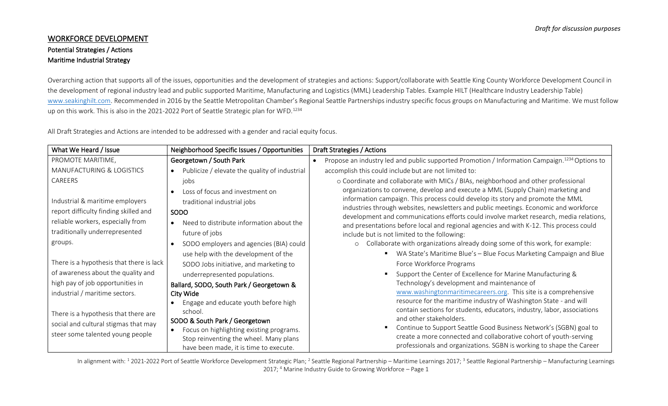## WORKFORCE DEVELOPMENT Potential Strategies / Actions Maritime Industrial Strategy

Overarching action that supports all of the issues, opportunities and the development of strategies and actions: Support/collaborate with Seattle King County Workforce Development Council in the development of regional industry lead and public supported Maritime, Manufacturing and Logistics (MML) Leadership Tables. Example HILT (Healthcare Industry Leadership Table) [www.seakinghilt.com](http://www.seakinghilt.com/). Recommended in 2016 by the Seattle Metropolitan Chamber's Regional Seattle Partnerships industry specific focus groups on Manufacturing and Maritime. We must follow up on this work. This is also in the 2021-2022 Port of Seattle Strategic plan for WFD.<sup>1234</sup>

All Draft Strategies and Actions are intended to be addressed with a gender and racial equity focus.

| What We Heard / Issue                                                                                                                            | Neighborhood Specific Issues / Opportunities                                                                                                                                | Draft Strategies / Actions                                                                                                                                                                                                                                                                                                                                                                                                                                                                                                           |
|--------------------------------------------------------------------------------------------------------------------------------------------------|-----------------------------------------------------------------------------------------------------------------------------------------------------------------------------|--------------------------------------------------------------------------------------------------------------------------------------------------------------------------------------------------------------------------------------------------------------------------------------------------------------------------------------------------------------------------------------------------------------------------------------------------------------------------------------------------------------------------------------|
| PROMOTE MARITIME,                                                                                                                                | Georgetown / South Park                                                                                                                                                     | Propose an industry led and public supported Promotion / Information Campaign. <sup>1234</sup> Options to<br>$\bullet$                                                                                                                                                                                                                                                                                                                                                                                                               |
| MANUFACTURING & LOGISTICS                                                                                                                        | Publicize / elevate the quality of industrial<br>$\bullet$                                                                                                                  | accomplish this could include but are not limited to:                                                                                                                                                                                                                                                                                                                                                                                                                                                                                |
| CAREERS<br>Industrial & maritime employers<br>report difficulty finding skilled and<br>reliable workers, especially from                         | jobs<br>Loss of focus and investment on<br>$\bullet$<br>traditional industrial jobs<br>SODO<br>Need to distribute information about the<br>$\bullet$                        | o Coordinate and collaborate with MICs / BIAs, neighborhood and other professional<br>organizations to convene, develop and execute a MML (Supply Chain) marketing and<br>information campaign. This process could develop its story and promote the MML<br>industries through websites, newsletters and public meetings. Economic and workforce<br>development and communications efforts could involve market research, media relations,<br>and presentations before local and regional agencies and with K-12. This process could |
| traditionally underrepresented<br>groups.                                                                                                        | future of jobs<br>SODO employers and agencies (BIA) could<br>$\bullet$                                                                                                      | include but is not limited to the following:<br>o Collaborate with organizations already doing some of this work, for example:                                                                                                                                                                                                                                                                                                                                                                                                       |
| There is a hypothesis that there is lack                                                                                                         | use help with the development of the<br>SODO Jobs initiative, and marketing to                                                                                              | WA State's Maritime Blue's - Blue Focus Marketing Campaign and Blue<br>Force Workforce Programs                                                                                                                                                                                                                                                                                                                                                                                                                                      |
| of awareness about the quality and<br>high pay of job opportunities in<br>industrial / maritime sectors.<br>There is a hypothesis that there are | underrepresented populations.<br>Ballard, SODO, South Park / Georgetown &<br>City Wide<br>Engage and educate youth before high<br>school.                                   | Support the Center of Excellence for Marine Manufacturing &<br>Technology's development and maintenance of<br>www.washingtonmaritimecareers.org. This site is a comprehensive<br>resource for the maritime industry of Washington State - and will<br>contain sections for students, educators, industry, labor, associations                                                                                                                                                                                                        |
| social and cultural stigmas that may<br>steer some talented young people                                                                         | SODO & South Park / Georgetown<br>Focus on highlighting existing programs.<br>$\bullet$<br>Stop reinventing the wheel. Many plans<br>have been made, it is time to execute. | and other stakeholders.<br>Continue to Support Seattle Good Business Network's (SGBN) goal to<br>create a more connected and collaborative cohort of youth-serving<br>professionals and organizations. SGBN is working to shape the Career                                                                                                                                                                                                                                                                                           |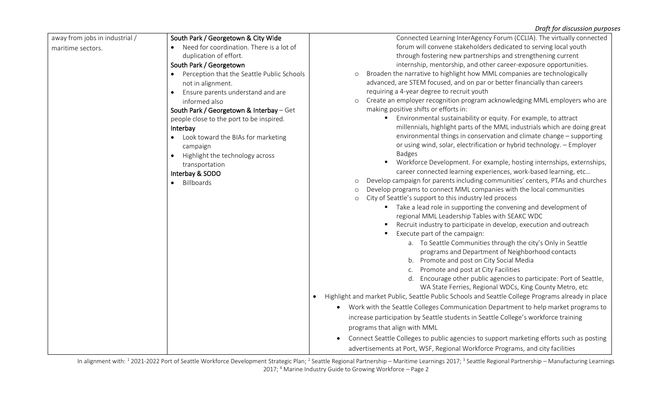| away from jobs in industrial / | South Park / Georgetown & City Wide        | Connected Learning InterAgency Forum (CCLIA). The virtually connected                                          |
|--------------------------------|--------------------------------------------|----------------------------------------------------------------------------------------------------------------|
| maritime sectors.              | Need for coordination. There is a lot of   | forum will convene stakeholders dedicated to serving local youth                                               |
|                                | duplication of effort.                     | through fostering new partnerships and strengthening current                                                   |
|                                | South Park / Georgetown                    | internship, mentorship, and other career-exposure opportunities.                                               |
|                                | Perception that the Seattle Public Schools | Broaden the narrative to highlight how MML companies are technologically                                       |
|                                | not in alignment.                          | advanced, are STEM focused, and on par or better financially than careers                                      |
|                                | Ensure parents understand and are          | requiring a 4-year degree to recruit youth                                                                     |
|                                | informed also                              | Create an employer recognition program acknowledging MML employers who are<br>$\circ$                          |
|                                | South Park / Georgetown & Interbay - Get   | making positive shifts or efforts in:                                                                          |
|                                | people close to the port to be inspired.   | Environmental sustainability or equity. For example, to attract                                                |
|                                | Interbay                                   | millennials, highlight parts of the MML industrials which are doing great                                      |
|                                | Look toward the BIAs for marketing         | environmental things in conservation and climate change - supporting                                           |
|                                | campaign                                   | or using wind, solar, electrification or hybrid technology. - Employer                                         |
|                                | Highlight the technology across            | <b>Badges</b>                                                                                                  |
|                                | transportation                             | Workforce Development. For example, hosting internships, externships,                                          |
|                                | Interbay & SODO                            | career connected learning experiences, work-based learning, etc                                                |
|                                | Billboards                                 | Develop campaign for parents including communities' centers, PTAs and churches<br>$\circ$                      |
|                                |                                            | Develop programs to connect MML companies with the local communities<br>$\circ$                                |
|                                |                                            | City of Seattle's support to this industry led process<br>$\circ$                                              |
|                                |                                            | • Take a lead role in supporting the convening and development of                                              |
|                                |                                            | regional MML Leadership Tables with SEAKC WDC                                                                  |
|                                |                                            | Recruit industry to participate in develop, execution and outreach                                             |
|                                |                                            | Execute part of the campaign:                                                                                  |
|                                |                                            | a. To Seattle Communities through the city's Only in Seattle                                                   |
|                                |                                            | programs and Department of Neighborhood contacts                                                               |
|                                |                                            | b. Promote and post on City Social Media                                                                       |
|                                |                                            | c. Promote and post at City Facilities                                                                         |
|                                |                                            | d. Encourage other public agencies to participate: Port of Seattle,                                            |
|                                |                                            | WA State Ferries, Regional WDCs, King County Metro, etc                                                        |
|                                |                                            | Highlight and market Public, Seattle Public Schools and Seattle College Programs already in place<br>$\bullet$ |
|                                |                                            | Work with the Seattle Colleges Communication Department to help market programs to                             |
|                                |                                            | increase participation by Seattle students in Seattle College's workforce training                             |
|                                |                                            | programs that align with MML                                                                                   |
|                                |                                            | Connect Seattle Colleges to public agencies to support marketing efforts such as posting<br>$\bullet$          |
|                                |                                            | advertisements at Port, WSF, Regional Workforce Programs, and city facilities                                  |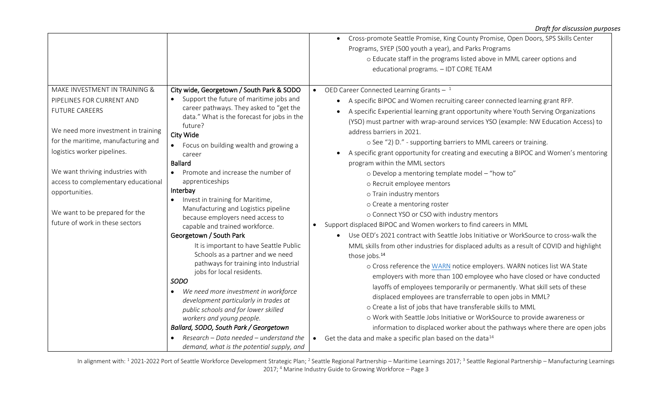|                                                                                                                                                                                                                                                                                                                                                                    |                                                                                                                                                                                                                                                                                                                                                                                                                                                                                                                                                                                                                                                                                                                                                                                                                                                                                                                                                                                                                                    | Cross-promote Seattle Promise, King County Promise, Open Doors, SPS Skills Center<br>$\bullet$<br>Programs, SYEP (500 youth a year), and Parks Programs<br>o Educate staff in the programs listed above in MML career options and<br>educational programs. - IDT CORE TEAM                                                                                                                                                                                                                                                                                                                                                                                                                                                                                                                                                                                                                                                                                                                                                                                                                                                                                                                                                                                                                                                                                                                                                                                                                                                                                                                                                                                                              |
|--------------------------------------------------------------------------------------------------------------------------------------------------------------------------------------------------------------------------------------------------------------------------------------------------------------------------------------------------------------------|------------------------------------------------------------------------------------------------------------------------------------------------------------------------------------------------------------------------------------------------------------------------------------------------------------------------------------------------------------------------------------------------------------------------------------------------------------------------------------------------------------------------------------------------------------------------------------------------------------------------------------------------------------------------------------------------------------------------------------------------------------------------------------------------------------------------------------------------------------------------------------------------------------------------------------------------------------------------------------------------------------------------------------|-----------------------------------------------------------------------------------------------------------------------------------------------------------------------------------------------------------------------------------------------------------------------------------------------------------------------------------------------------------------------------------------------------------------------------------------------------------------------------------------------------------------------------------------------------------------------------------------------------------------------------------------------------------------------------------------------------------------------------------------------------------------------------------------------------------------------------------------------------------------------------------------------------------------------------------------------------------------------------------------------------------------------------------------------------------------------------------------------------------------------------------------------------------------------------------------------------------------------------------------------------------------------------------------------------------------------------------------------------------------------------------------------------------------------------------------------------------------------------------------------------------------------------------------------------------------------------------------------------------------------------------------------------------------------------------------|
| MAKE INVESTMENT IN TRAINING &<br>PIPELINES FOR CURRENT AND<br><b>FUTURE CAREERS</b><br>We need more investment in training<br>for the maritime, manufacturing and<br>logistics worker pipelines.<br>We want thriving industries with<br>access to complementary educational<br>opportunities.<br>We want to be prepared for the<br>future of work in these sectors | City wide, Georgetown / South Park & SODO<br>Support the future of maritime jobs and<br>$\bullet$<br>career pathways. They asked to "get the<br>data." What is the forecast for jobs in the<br>future?<br>City Wide<br>• Focus on building wealth and growing a<br>career<br><b>Ballard</b><br>Promote and increase the number of<br>apprenticeships<br>Interbay<br>Invest in training for Maritime,<br>$\bullet$<br>Manufacturing and Logistics pipeline<br>because employers need access to<br>capable and trained workforce.<br>Georgetown / South Park<br>It is important to have Seattle Public<br>Schools as a partner and we need<br>pathways for training into Industrial<br>jobs for local residents.<br><b>SODO</b><br>We need more investment in workforce<br>$\bullet$<br>development particularly in trades at<br>public schools and for lower skilled<br>workers and young people.<br>Ballard, SODO, South Park / Georgetown<br>Research - Data needed - understand the<br>demand, what is the potential supply, and | OED Career Connected Learning Grants $-1$<br>$\bullet$<br>A specific BIPOC and Women recruiting career connected learning grant RFP.<br>A specific Experiential learning grant opportunity where Youth Serving Organizations<br>$\bullet$<br>(YSO) must partner with wrap-around services YSO (example: NW Education Access) to<br>address barriers in 2021.<br>o See "2) D." - supporting barriers to MML careers or training.<br>A specific grant opportunity for creating and executing a BIPOC and Women's mentoring<br>$\bullet$<br>program within the MML sectors<br>o Develop a mentoring template model - "how to"<br>o Recruit employee mentors<br>o Train industry mentors<br>o Create a mentoring roster<br>o Connect YSO or CSO with industry mentors<br>Support displaced BIPOC and Women workers to find careers in MML<br>$\bullet$<br>Use OED's 2021 contract with Seattle Jobs Initiative or WorkSource to cross-walk the<br>MML skills from other industries for displaced adults as a result of COVID and highlight<br>those jobs. <sup>14</sup><br>o Cross reference the WARN notice employers. WARN notices list WA State<br>employers with more than 100 employee who have closed or have conducted<br>layoffs of employees temporarily or permanently. What skill sets of these<br>displaced employees are transferrable to open jobs in MML?<br>o Create a list of jobs that have transferable skills to MML<br>o Work with Seattle Jobs Initiative or WorkSource to provide awareness or<br>information to displaced worker about the pathways where there are open jobs<br>Get the data and make a specific plan based on the data <sup>14</sup><br>$\bullet$ |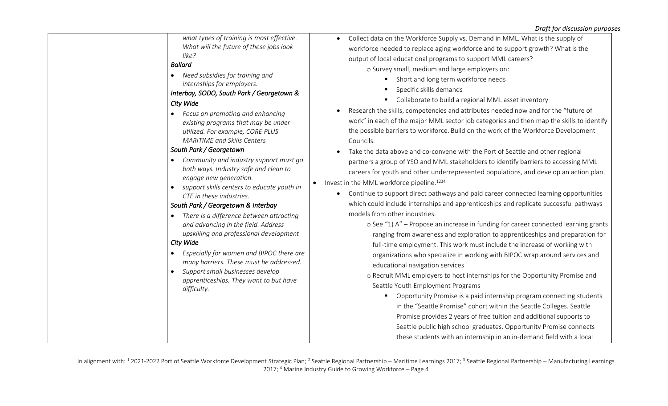*what types of training is most effective. What will the future of these jobs look like? Ballard*  • *Need subsidies for training and internships for employers. Interbay, SODO, South Park / Georgetown & City Wide*  • *Focus on promoting and enhancing existing programs that may be under utilized. For example, CORE PLUS MARITIME and Skills Centers South Park / Georgetown* • *Community and industry support must go both ways. Industry safe and clean to engage new generation.*  • *support skills centers to educate youth in CTE in these industries. South Park / Georgetown & Interbay* • *There is a difference between attracting and advancing in the field. Address upskilling and professional development City Wide*  • *Especially for women and BIPOC there are many barriers. These must be addressed.* • *Support small businesses develop apprenticeships. They want to but have difficulty.*

- Collect data on the Workforce Supply vs. Demand in MML. What is the supply of workforce needed to replace aging workforce and to support growth? What is the output of local educational programs to support MML careers? o Survey small, medium and large employers on:
	- Short and long term workforce needs
	- Specific skills demands
	- Collaborate to build a regional MML asset inventory
- Research the skills, competencies and attributes needed now and for the "future of work" in each of the major MML sector job categories and then map the skills to identify the possible barriers to workforce. Build on the work of the Workforce Development Councils.
- Take the data above and co-convene with the Port of Seattle and other regional partners a group of YSO and MML stakeholders to identify barriers to accessing MML careers for youth and other underrepresented populations, and develop an action plan.
- Invest in the MML workforce pipeline.<sup>1234</sup>
	- Continue to support direct pathways and paid career connected learning opportunities which could include internships and apprenticeships and replicate successful pathways models from other industries.
		- o See "1) A" Propose an increase in funding for career connected learning grants ranging from awareness and exploration to apprenticeships and preparation for full-time employment. This work must include the increase of working with organizations who specialize in working with BIPOC wrap around services and educational navigation services
		- o Recruit MML employers to host internships for the Opportunity Promise and Seattle Youth Employment Programs
			- Opportunity Promise is a paid internship program connecting students in the "Seattle Promise" cohort within the Seattle Colleges. Seattle Promise provides 2 years of free tuition and additional supports to Seattle public high school graduates. Opportunity Promise connects these students with an internship in an in-demand field with a local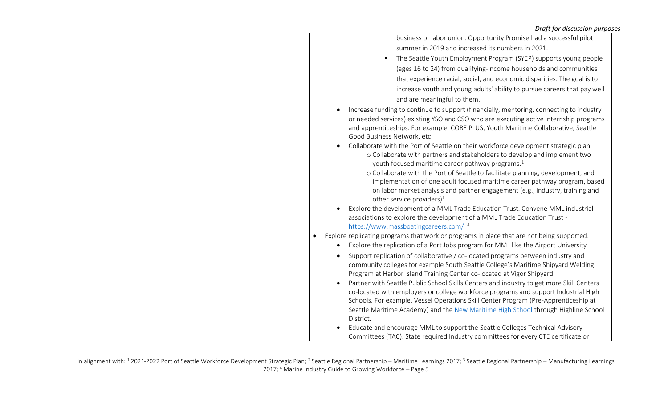|  | business or labor union. Opportunity Promise had a successful pilot                                                                                                                                                                                                                                                                                                                                                                                                                                                                                                                                                                                                                                                                                                                                                                    |
|--|----------------------------------------------------------------------------------------------------------------------------------------------------------------------------------------------------------------------------------------------------------------------------------------------------------------------------------------------------------------------------------------------------------------------------------------------------------------------------------------------------------------------------------------------------------------------------------------------------------------------------------------------------------------------------------------------------------------------------------------------------------------------------------------------------------------------------------------|
|  | summer in 2019 and increased its numbers in 2021.                                                                                                                                                                                                                                                                                                                                                                                                                                                                                                                                                                                                                                                                                                                                                                                      |
|  | The Seattle Youth Employment Program (SYEP) supports young people<br>٠                                                                                                                                                                                                                                                                                                                                                                                                                                                                                                                                                                                                                                                                                                                                                                 |
|  | (ages 16 to 24) from qualifying-income households and communities                                                                                                                                                                                                                                                                                                                                                                                                                                                                                                                                                                                                                                                                                                                                                                      |
|  | that experience racial, social, and economic disparities. The goal is to                                                                                                                                                                                                                                                                                                                                                                                                                                                                                                                                                                                                                                                                                                                                                               |
|  | increase youth and young adults' ability to pursue careers that pay well                                                                                                                                                                                                                                                                                                                                                                                                                                                                                                                                                                                                                                                                                                                                                               |
|  | and are meaningful to them.                                                                                                                                                                                                                                                                                                                                                                                                                                                                                                                                                                                                                                                                                                                                                                                                            |
|  | Increase funding to continue to support (financially, mentoring, connecting to industry<br>or needed services) existing YSO and CSO who are executing active internship programs<br>and apprenticeships. For example, CORE PLUS, Youth Maritime Collaborative, Seattle<br>Good Business Network, etc<br>Collaborate with the Port of Seattle on their workforce development strategic plan<br>$\bullet$<br>o Collaborate with partners and stakeholders to develop and implement two<br>youth focused maritime career pathway programs. <sup>1</sup><br>o Collaborate with the Port of Seattle to facilitate planning, development, and<br>implementation of one adult focused maritime career pathway program, based<br>on labor market analysis and partner engagement (e.g., industry, training and<br>other service providers) $1$ |
|  | Explore the development of a MML Trade Education Trust. Convene MML industrial                                                                                                                                                                                                                                                                                                                                                                                                                                                                                                                                                                                                                                                                                                                                                         |
|  | associations to explore the development of a MML Trade Education Trust -                                                                                                                                                                                                                                                                                                                                                                                                                                                                                                                                                                                                                                                                                                                                                               |
|  | https://www.massboatingcareers.com/4<br>Explore replicating programs that work or programs in place that are not being supported.<br>$\bullet$                                                                                                                                                                                                                                                                                                                                                                                                                                                                                                                                                                                                                                                                                         |
|  | Explore the replication of a Port Jobs program for MML like the Airport University<br>$\bullet$                                                                                                                                                                                                                                                                                                                                                                                                                                                                                                                                                                                                                                                                                                                                        |
|  | Support replication of collaborative / co-located programs between industry and<br>$\bullet$<br>community colleges for example South Seattle College's Maritime Shipyard Welding<br>Program at Harbor Island Training Center co-located at Vigor Shipyard.<br>Partner with Seattle Public School Skills Centers and industry to get more Skill Centers<br>co-located with employers or college workforce programs and support Industrial High<br>Schools. For example, Vessel Operations Skill Center Program (Pre-Apprenticeship at<br>Seattle Maritime Academy) and the New Maritime High School through Highline School<br>District.                                                                                                                                                                                                |
|  | Educate and encourage MML to support the Seattle Colleges Technical Advisory<br>Committees (TAC). State required Industry committees for every CTE certificate or                                                                                                                                                                                                                                                                                                                                                                                                                                                                                                                                                                                                                                                                      |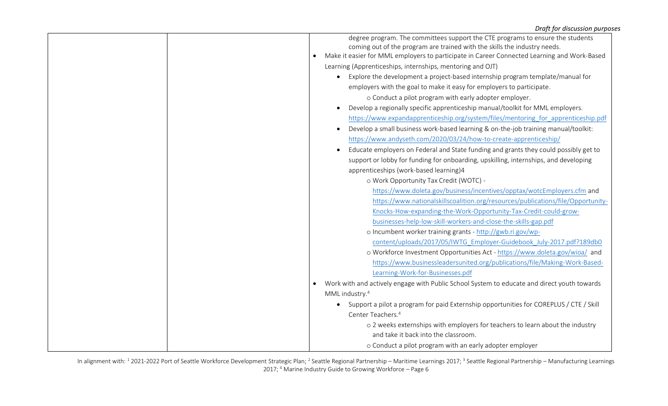| degree program. The committees support the CTE programs to ensure the students                    |
|---------------------------------------------------------------------------------------------------|
| coming out of the program are trained with the skills the industry needs.                         |
| Make it easier for MML employers to participate in Career Connected Learning and Work-Based       |
| Learning (Apprenticeships, internships, mentoring and OJT)                                        |
| Explore the development a project-based internship program template/manual for                    |
| employers with the goal to make it easy for employers to participate.                             |
| o Conduct a pilot program with early adopter employer.                                            |
| Develop a regionally specific apprenticeship manual/toolkit for MML employers.                    |
| https://www.expandapprenticeship.org/system/files/mentoring for apprenticeship.pdf                |
| Develop a small business work-based learning & on-the-job training manual/toolkit:                |
| https://www.andyseth.com/2020/03/24/how-to-create-apprenticeship/                                 |
| Educate employers on Federal and State funding and grants they could possibly get to<br>$\bullet$ |
| support or lobby for funding for onboarding, upskilling, internships, and developing              |
| apprenticeships (work-based learning)4                                                            |
| o Work Opportunity Tax Credit (WOTC) -                                                            |
| https://www.doleta.gov/business/incentives/opptax/wotcEmployers.cfm and                           |
| https://www.nationalskillscoalition.org/resources/publications/file/Opportunity-                  |
| Knocks-How-expanding-the-Work-Opportunity-Tax-Credit-could-grow-                                  |
| businesses-help-low-skill-workers-and-close-the-skills-gap.pdf                                    |
| o Incumbent worker training grants - http://gwb.ri.gov/wp-                                        |
| content/uploads/2017/05/IWTG Employer-Guidebook July-2017.pdf?189db0                              |
| o Workforce Investment Opportunities Act - https://www.doleta.gov/wioa/ and                       |
| https://www.businessleadersunited.org/publications/file/Making-Work-Based-                        |
| Learning-Work-for-Businesses.pdf                                                                  |
| Work with and actively engage with Public School System to educate and direct youth towards       |
| MML industry. <sup>4</sup>                                                                        |
| Support a pilot a program for paid Externship opportunities for COREPLUS / CTE / Skill<br>٠       |
| Center Teachers. <sup>4</sup>                                                                     |
| o 2 weeks externships with employers for teachers to learn about the industry                     |
| and take it back into the classroom.                                                              |
| o Conduct a pilot program with an early adopter employer                                          |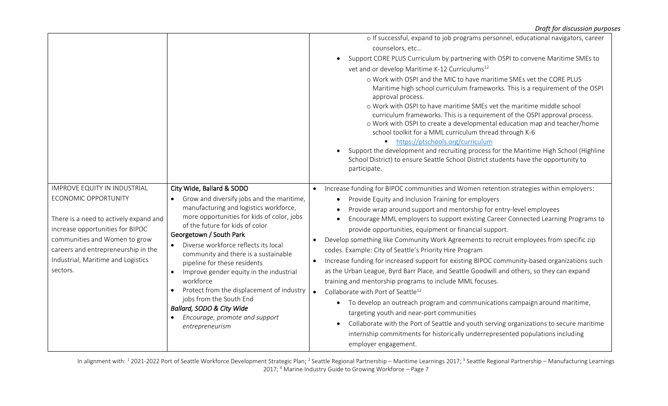|                                                                                                                                                                                                                                                                     |                                                                                                                                                                                                                                                                                                                                                                                                                                                                                                                                                                             | o If successful, expand to job programs personnel, educational navigators, career<br>counselors, etc<br>Support CORE PLUS Curriculum by partnering with OSPI to convene Maritime SMEs to<br>vet and or develop Maritime K-12 Curriculums <sup>12</sup><br>o Work with OSPI and the MIC to have maritime SMEs vet the CORE PLUS<br>Maritime high school curriculum frameworks. This is a requirement of the OSPI<br>approval process.<br>o Work with OSPI to have maritime SMEs vet the maritime middle school<br>curriculum frameworks. This is a requirement of the OSPI approval process.<br>o Work with OSPI to create a developmental education map and teacher/home<br>school toolkit for a MML curriculum thread through K-6<br>https://ptschools.org/curriculum<br>Support the development and recruiting process for the Maritime High School (Highline<br>School District) to ensure Seattle School District students have the opportunity to<br>participate.                                                                                                                                                                                                                                         |
|---------------------------------------------------------------------------------------------------------------------------------------------------------------------------------------------------------------------------------------------------------------------|-----------------------------------------------------------------------------------------------------------------------------------------------------------------------------------------------------------------------------------------------------------------------------------------------------------------------------------------------------------------------------------------------------------------------------------------------------------------------------------------------------------------------------------------------------------------------------|----------------------------------------------------------------------------------------------------------------------------------------------------------------------------------------------------------------------------------------------------------------------------------------------------------------------------------------------------------------------------------------------------------------------------------------------------------------------------------------------------------------------------------------------------------------------------------------------------------------------------------------------------------------------------------------------------------------------------------------------------------------------------------------------------------------------------------------------------------------------------------------------------------------------------------------------------------------------------------------------------------------------------------------------------------------------------------------------------------------------------------------------------------------------------------------------------------------|
| <b>IMPROVE EQUITY IN INDUSTRIAL</b><br>ECONOMIC OPPORTUNITY<br>There is a need to actively expand and<br>increase opportunities for BIPOC<br>communities and Women to grow<br>careers and entrepreneurship in the<br>Industrial, Maritime and Logistics<br>sectors. | City Wide, Ballard & SODO<br>Grow and diversify jobs and the maritime,<br>manufacturing and logistics workforce,<br>more opportunities for kids of color, jobs<br>of the future for kids of color<br>Georgetown / South Park<br>Diverse workforce reflects its local<br>community and there is a sustainable<br>pipeline for these residents<br>Improve gender equity in the industrial<br>$\bullet$<br>workforce<br>Protect from the displacement of industry<br>jobs from the South End<br>Ballard, SODO & City Wide<br>Encourage, promote and support<br>entrepreneurism | Increase funding for BIPOC communities and Women retention strategies within employers:<br>Provide Equity and Inclusion Training for employers<br>$\bullet$<br>Provide wrap around support and mentorship for entry-level employees<br>Encourage MML employers to support existing Career Connected Learning Programs to<br>provide opportunities, equipment or financial support.<br>Develop something like Community Work Agreements to recruit employees from specific zip<br>codes. Example: City of Seattle's Priority Hire Program<br>Increase funding for increased support for existing BIPOC community-based organizations such<br>as the Urban League, Byrd Barr Place, and Seattle Goodwill and others, so they can expand<br>training and mentorship programs to include MML focuses.<br>Collaborate with Port of Seattle <sup>12</sup><br>To develop an outreach program and communications campaign around maritime,<br>$\bullet$<br>targeting youth and near-port communities<br>Collaborate with the Port of Seattle and youth serving organizations to secure maritime<br>$\bullet$<br>internship commitments for historically underrepresented populations including<br>employer engagement. |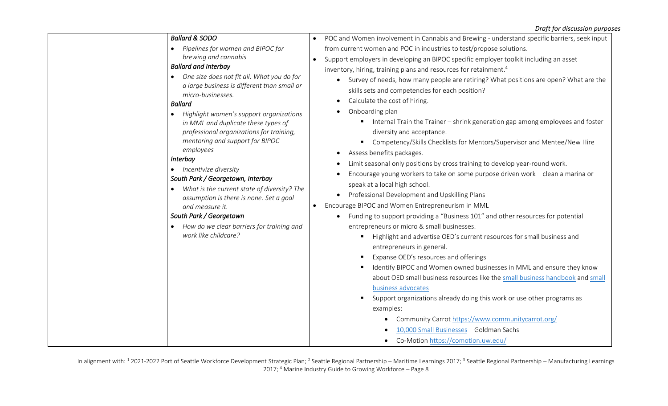| <b>Ballard &amp; SODO</b>                                                                 | POC and Women involvement in Cannabis and Brewing - understand specific barriers, seek input<br>$\bullet$ |
|-------------------------------------------------------------------------------------------|-----------------------------------------------------------------------------------------------------------|
| Pipelines for women and BIPOC for                                                         | from current women and POC in industries to test/propose solutions.                                       |
| brewing and cannabis                                                                      | Support employers in developing an BIPOC specific employer toolkit including an asset<br>$\bullet$        |
| <b>Ballard and Interbay</b>                                                               | inventory, hiring, training plans and resources for retainment. <sup>4</sup>                              |
| One size does not fit all. What you do for<br>a large business is different than small or | Survey of needs, how many people are retiring? What positions are open? What are the<br>$\bullet$         |
| micro-businesses.                                                                         | skills sets and competencies for each position?                                                           |
| <b>Ballard</b>                                                                            | Calculate the cost of hiring.<br>$\bullet$                                                                |
| Highlight women's support organizations<br>$\bullet$                                      | Onboarding plan                                                                                           |
| in MML and duplicate these types of                                                       | Internal Train the Trainer - shrink generation gap among employees and foster                             |
| professional organizations for training,                                                  | diversity and acceptance.                                                                                 |
| mentoring and support for BIPOC                                                           | Competency/Skills Checklists for Mentors/Supervisor and Mentee/New Hire                                   |
| employees<br>Interbay                                                                     | Assess benefits packages.<br>$\bullet$                                                                    |
| Incentivize diversity                                                                     | Limit seasonal only positions by cross training to develop year-round work.                               |
| South Park / Georgetown, Interbay                                                         | Encourage young workers to take on some purpose driven work - clean a marina or                           |
| What is the current state of diversity? The                                               | speak at a local high school.                                                                             |
| assumption is there is none. Set a goal                                                   | Professional Development and Upskilling Plans                                                             |
| and measure it.                                                                           | Encourage BIPOC and Women Entrepreneurism in MML<br>$\bullet$                                             |
| South Park / Georgetown                                                                   | Funding to support providing a "Business 101" and other resources for potential<br>$\bullet$              |
| How do we clear barriers for training and                                                 | entrepreneurs or micro & small businesses.                                                                |
| work like childcare?                                                                      | Highlight and advertise OED's current resources for small business and                                    |
|                                                                                           | entrepreneurs in general.                                                                                 |
|                                                                                           | Expanse OED's resources and offerings                                                                     |
|                                                                                           | Identify BIPOC and Women owned businesses in MML and ensure they know                                     |
|                                                                                           | about OED small business resources like the small business handbook and small                             |
|                                                                                           | business advocates                                                                                        |
|                                                                                           | Support organizations already doing this work or use other programs as                                    |
|                                                                                           | examples:                                                                                                 |
|                                                                                           | Community Carrot https://www.communitycarrot.org/                                                         |
|                                                                                           | 10,000 Small Businesses - Goldman Sachs                                                                   |
|                                                                                           | Co-Motion https://comotion.uw.edu/                                                                        |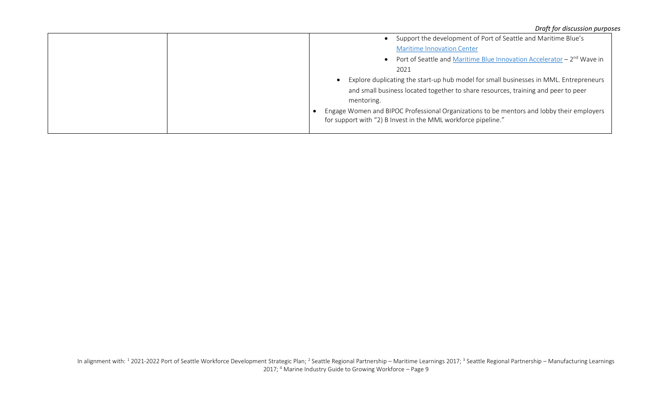|                                                                                                                                                            | Support the development of Port of Seattle and Maritime Blue's |
|------------------------------------------------------------------------------------------------------------------------------------------------------------|----------------------------------------------------------------|
| <b>Maritime Innovation Center</b>                                                                                                                          |                                                                |
| Port of Seattle and Maritime Blue Innovation Accelerator - 2 <sup>nd</sup> Wave in                                                                         |                                                                |
| 2021                                                                                                                                                       |                                                                |
| Explore duplicating the start-up hub model for small businesses in MML. Entrepreneurs                                                                      |                                                                |
| and small business located together to share resources, training and peer to peer                                                                          |                                                                |
| mentoring.                                                                                                                                                 |                                                                |
| Engage Women and BIPOC Professional Organizations to be mentors and lobby their employers<br>for support with "2) B Invest in the MML workforce pipeline." |                                                                |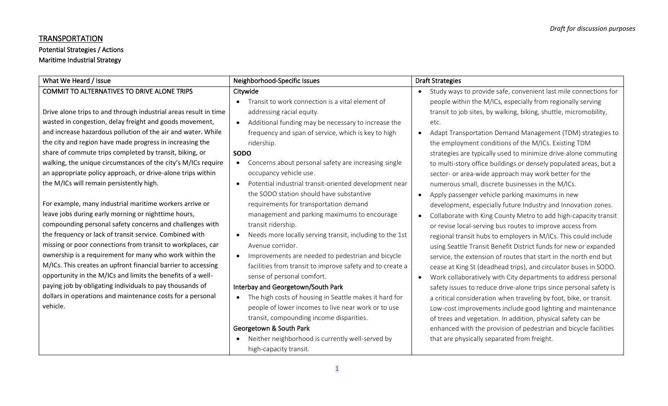## **TRANSPORTATION**

# Potential Strategies / Actions

# Maritime Industrial Strategy

| What We Heard / Issue                                                                                                                                                                                                                                                                                                                                                                                                                                                                                                                                                                                                                                                                                                                                                                                                                                                                                                                                                                                                                                                                                                                                                      | Neighborhood-Specific Issues                                                                                                                                                                                                                                                                                                                                                                                                                                                                                                                                                                                                                                                                                                                                                                                                                 | <b>Draft Strategies</b>                                                                                                                                                                                                                                                                                                                                                                                                                                                                                                                                                                                                                                                                                                                                                                                                                                                                                                                                                                                                                                                                                                                                                                                                                                             |
|----------------------------------------------------------------------------------------------------------------------------------------------------------------------------------------------------------------------------------------------------------------------------------------------------------------------------------------------------------------------------------------------------------------------------------------------------------------------------------------------------------------------------------------------------------------------------------------------------------------------------------------------------------------------------------------------------------------------------------------------------------------------------------------------------------------------------------------------------------------------------------------------------------------------------------------------------------------------------------------------------------------------------------------------------------------------------------------------------------------------------------------------------------------------------|----------------------------------------------------------------------------------------------------------------------------------------------------------------------------------------------------------------------------------------------------------------------------------------------------------------------------------------------------------------------------------------------------------------------------------------------------------------------------------------------------------------------------------------------------------------------------------------------------------------------------------------------------------------------------------------------------------------------------------------------------------------------------------------------------------------------------------------------|---------------------------------------------------------------------------------------------------------------------------------------------------------------------------------------------------------------------------------------------------------------------------------------------------------------------------------------------------------------------------------------------------------------------------------------------------------------------------------------------------------------------------------------------------------------------------------------------------------------------------------------------------------------------------------------------------------------------------------------------------------------------------------------------------------------------------------------------------------------------------------------------------------------------------------------------------------------------------------------------------------------------------------------------------------------------------------------------------------------------------------------------------------------------------------------------------------------------------------------------------------------------|
| COMMIT TO ALTERNATIVES TO DRIVE ALONE TRIPS<br>Drive alone trips to and through industrial areas result in time<br>wasted in congestion, delay freight and goods movement,<br>and increase hazardous pollution of the air and water. While<br>the city and region have made progress in increasing the<br>share of commute trips completed by transit, biking, or<br>walking, the unique circumstances of the city's M/ICs require<br>an appropriate policy approach, or drive-alone trips within<br>the M/ICs will remain persistently high.<br>For example, many industrial maritime workers arrive or<br>leave jobs during early morning or nighttime hours,<br>compounding personal safety concerns and challenges with<br>the frequency or lack of transit service. Combined with<br>missing or poor connections from transit to workplaces, car<br>ownership is a requirement for many who work within the<br>M/ICs. This creates an upfront financial barrier to accessing<br>opportunity in the M/ICs and limits the benefits of a well-<br>paying job by obligating individuals to pay thousands of<br>dollars in operations and maintenance costs for a personal | Citywide<br>Transit to work connection is a vital element of<br>addressing racial equity.<br>Additional funding may be necessary to increase the<br>frequency and span of service, which is key to high<br>ridership.<br><b>SODO</b><br>Concerns about personal safety are increasing single<br>occupancy vehicle use.<br>Potential industrial transit-oriented development near<br>$\bullet$<br>the SODO station should have substantive<br>requirements for transportation demand<br>management and parking maximums to encourage<br>transit ridership.<br>Needs more locally serving transit, including to the 1st<br>Avenue corridor.<br>Improvements are needed to pedestrian and bicycle<br>facilities from transit to improve safety and to create a<br>sense of personal comfort.<br>Interbay and Georgetown/South Park<br>$\bullet$ | Study ways to provide safe, convenient last mile connections for<br>people within the M/ICs, especially from regionally serving<br>transit to job sites, by walking, biking, shuttle, micromobility,<br>etc.<br>Adapt Transportation Demand Management (TDM) strategies to<br>the employment conditions of the M/ICs. Existing TDM<br>strategies are typically used to minimize drive-alone commuting<br>to multi-story office buildings or densely populated areas, but a<br>sector- or area-wide approach may work better for the<br>numerous small, discrete businesses in the M/ICs.<br>Apply passenger vehicle parking maximums in new<br>development, especially future Industry and Innovation zones.<br>Collaborate with King County Metro to add high-capacity transit<br>or revise local-serving bus routes to improve access from<br>regional transit hubs to employers in M/ICs. This could include<br>using Seattle Transit Benefit District funds for new or expanded<br>service, the extension of routes that start in the north end but<br>cease at King St (deadhead trips), and circulator buses in SODO.<br>Work collaboratively with City departments to address personal<br>safety issues to reduce drive-alone trips since personal safety is |
| vehicle.                                                                                                                                                                                                                                                                                                                                                                                                                                                                                                                                                                                                                                                                                                                                                                                                                                                                                                                                                                                                                                                                                                                                                                   | The high costs of housing in Seattle makes it hard for<br>people of lower incomes to live near work or to use<br>transit, compounding income disparities.<br>Georgetown & South Park<br>Neither neighborhood is currently well-served by<br>high-capacity transit.                                                                                                                                                                                                                                                                                                                                                                                                                                                                                                                                                                           | a critical consideration when traveling by foot, bike, or transit.<br>Low-cost improvements include good lighting and maintenance<br>of trees and vegetation. In addition, physical safety can be<br>enhanced with the provision of pedestrian and bicycle facilities<br>that are physically separated from freight.                                                                                                                                                                                                                                                                                                                                                                                                                                                                                                                                                                                                                                                                                                                                                                                                                                                                                                                                                |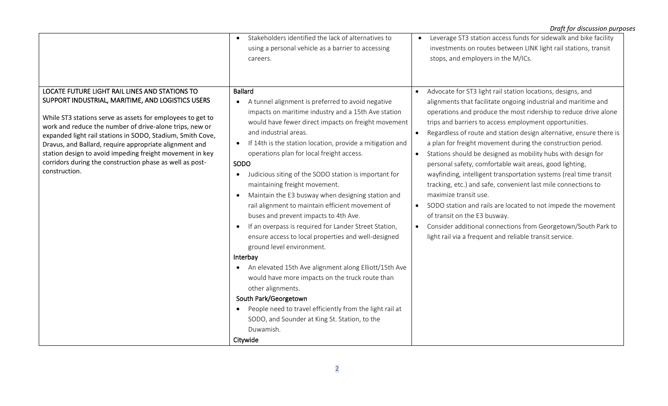| careers.                                                                                                                                                                                                                                                                                                                                                                                                                                                                                                                                                                                                                                                                                                                                                                                                                                                                                                                                                                                                                                                                                                                                                                                                                                                                                                                                                                                                                                                                                                                                                                                            |                                                                                                                                                                                                                                                                                                                                                                                                                                                                                                                                                                                                                                                                                                                                                                                                                                                                                                                                                                |
|-----------------------------------------------------------------------------------------------------------------------------------------------------------------------------------------------------------------------------------------------------------------------------------------------------------------------------------------------------------------------------------------------------------------------------------------------------------------------------------------------------------------------------------------------------------------------------------------------------------------------------------------------------------------------------------------------------------------------------------------------------------------------------------------------------------------------------------------------------------------------------------------------------------------------------------------------------------------------------------------------------------------------------------------------------------------------------------------------------------------------------------------------------------------------------------------------------------------------------------------------------------------------------------------------------------------------------------------------------------------------------------------------------------------------------------------------------------------------------------------------------------------------------------------------------------------------------------------------------|----------------------------------------------------------------------------------------------------------------------------------------------------------------------------------------------------------------------------------------------------------------------------------------------------------------------------------------------------------------------------------------------------------------------------------------------------------------------------------------------------------------------------------------------------------------------------------------------------------------------------------------------------------------------------------------------------------------------------------------------------------------------------------------------------------------------------------------------------------------------------------------------------------------------------------------------------------------|
| LOCATE FUTURE LIGHT RAIL LINES AND STATIONS TO<br><b>Ballard</b><br>SUPPORT INDUSTRIAL, MARITIME, AND LOGISTICS USERS<br>A tunnel alignment is preferred to avoid negative<br>$\bullet$<br>impacts on maritime industry and a 15th Ave station<br>While ST3 stations serve as assets for employees to get to<br>would have fewer direct impacts on freight movement<br>work and reduce the number of drive-alone trips, new or<br>and industrial areas.<br>expanded light rail stations in SODO, Stadium, Smith Cove,<br>If 14th is the station location, provide a mitigation and<br>$\bullet$<br>Dravus, and Ballard, require appropriate alignment and<br>operations plan for local freight access.<br>station design to avoid impeding freight movement in key<br>corridors during the construction phase as well as post-<br>SODO<br>construction.<br>Judicious siting of the SODO station is important for<br>$\bullet$<br>maintaining freight movement.<br>Maintain the E3 busway when designing station and<br>rail alignment to maintain efficient movement of<br>buses and prevent impacts to 4th Ave.<br>If an overpass is required for Lander Street Station,<br>$\bullet$<br>ensure access to local properties and well-designed<br>ground level environment.<br>Interbay<br>An elevated 15th Ave alignment along Elliott/15th Ave<br>would have more impacts on the truck route than<br>other alignments.<br>South Park/Georgetown<br>People need to travel efficiently from the light rail at<br>$\bullet$<br>SODO, and Sounder at King St. Station, to the<br>Duwamish.<br>Citywide | Advocate for ST3 light rail station locations, designs, and<br>$\bullet$<br>alignments that facilitate ongoing industrial and maritime and<br>operations and produce the most ridership to reduce drive alone<br>trips and barriers to access employment opportunities.<br>Regardless of route and station design alternative, ensure there is<br>a plan for freight movement during the construction period.<br>Stations should be designed as mobility hubs with design for<br>personal safety, comfortable wait areas, good lighting,<br>wayfinding, intelligent transportation systems (real time transit<br>tracking, etc.) and safe, convenient last mile connections to<br>maximize transit use.<br>SODO station and rails are located to not impede the movement<br>$\bullet$<br>of transit on the E3 busway.<br>Consider additional connections from Georgetown/South Park to<br>$\bullet$<br>light rail via a frequent and reliable transit service. |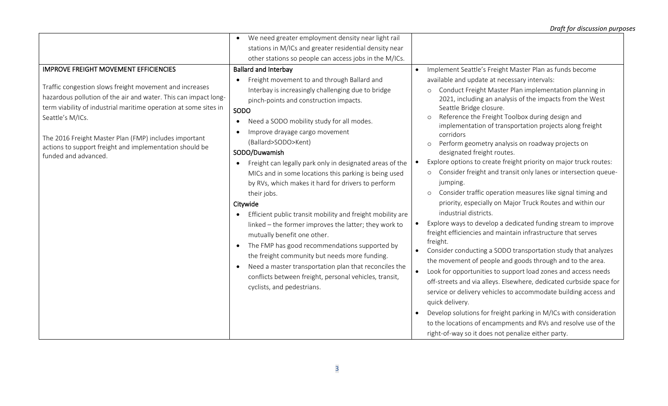| We need greater employment density near light rail<br>$\bullet$<br>stations in M/ICs and greater residential density near<br>other stations so people can access jobs in the M/ICs.                                                                                                                                                                                                                                                                                                                                                                                                                                                                                                                                                                                                                                                                                                                                                                                                                                                                                                                                                                                                                                                                                                                                                       |                                                                                                                                                                                                                                                                                                                                                                                                                                                                                                                                                                                                                                                                                                                                                                                                                                                                                                                                                                                                                                                                                                                                                                                                                                                                                                                                                                                                                         |
|-------------------------------------------------------------------------------------------------------------------------------------------------------------------------------------------------------------------------------------------------------------------------------------------------------------------------------------------------------------------------------------------------------------------------------------------------------------------------------------------------------------------------------------------------------------------------------------------------------------------------------------------------------------------------------------------------------------------------------------------------------------------------------------------------------------------------------------------------------------------------------------------------------------------------------------------------------------------------------------------------------------------------------------------------------------------------------------------------------------------------------------------------------------------------------------------------------------------------------------------------------------------------------------------------------------------------------------------|-------------------------------------------------------------------------------------------------------------------------------------------------------------------------------------------------------------------------------------------------------------------------------------------------------------------------------------------------------------------------------------------------------------------------------------------------------------------------------------------------------------------------------------------------------------------------------------------------------------------------------------------------------------------------------------------------------------------------------------------------------------------------------------------------------------------------------------------------------------------------------------------------------------------------------------------------------------------------------------------------------------------------------------------------------------------------------------------------------------------------------------------------------------------------------------------------------------------------------------------------------------------------------------------------------------------------------------------------------------------------------------------------------------------------|
|                                                                                                                                                                                                                                                                                                                                                                                                                                                                                                                                                                                                                                                                                                                                                                                                                                                                                                                                                                                                                                                                                                                                                                                                                                                                                                                                           |                                                                                                                                                                                                                                                                                                                                                                                                                                                                                                                                                                                                                                                                                                                                                                                                                                                                                                                                                                                                                                                                                                                                                                                                                                                                                                                                                                                                                         |
|                                                                                                                                                                                                                                                                                                                                                                                                                                                                                                                                                                                                                                                                                                                                                                                                                                                                                                                                                                                                                                                                                                                                                                                                                                                                                                                                           |                                                                                                                                                                                                                                                                                                                                                                                                                                                                                                                                                                                                                                                                                                                                                                                                                                                                                                                                                                                                                                                                                                                                                                                                                                                                                                                                                                                                                         |
|                                                                                                                                                                                                                                                                                                                                                                                                                                                                                                                                                                                                                                                                                                                                                                                                                                                                                                                                                                                                                                                                                                                                                                                                                                                                                                                                           |                                                                                                                                                                                                                                                                                                                                                                                                                                                                                                                                                                                                                                                                                                                                                                                                                                                                                                                                                                                                                                                                                                                                                                                                                                                                                                                                                                                                                         |
| <b>IMPROVE FREIGHT MOVEMENT EFFICIENCIES</b><br><b>Ballard and Interbay</b>                                                                                                                                                                                                                                                                                                                                                                                                                                                                                                                                                                                                                                                                                                                                                                                                                                                                                                                                                                                                                                                                                                                                                                                                                                                               | Implement Seattle's Freight Master Plan as funds become<br>$\bullet$                                                                                                                                                                                                                                                                                                                                                                                                                                                                                                                                                                                                                                                                                                                                                                                                                                                                                                                                                                                                                                                                                                                                                                                                                                                                                                                                                    |
| Freight movement to and through Ballard and<br>$\bullet$<br>Traffic congestion slows freight movement and increases<br>Interbay is increasingly challenging due to bridge<br>hazardous pollution of the air and water. This can impact long-<br>pinch-points and construction impacts.<br>term viability of industrial maritime operation at some sites in<br>SODO<br>Seattle's M/ICs.<br>Need a SODO mobility study for all modes.<br>$\bullet$<br>Improve drayage cargo movement<br>$\bullet$<br>The 2016 Freight Master Plan (FMP) includes important<br>(Ballard>SODO>Kent)<br>actions to support freight and implementation should be<br>SODO/Duwamish<br>funded and advanced.<br>Freight can legally park only in designated areas of the<br>$\bullet$<br>MICs and in some locations this parking is being used<br>by RVs, which makes it hard for drivers to perform<br>their jobs.<br>Citywide<br>Efficient public transit mobility and freight mobility are<br>$\bullet$<br>linked - the former improves the latter; they work to<br>mutually benefit one other.<br>The FMP has good recommendations supported by<br>$\bullet$<br>the freight community but needs more funding.<br>Need a master transportation plan that reconciles the<br>conflicts between freight, personal vehicles, transit,<br>cyclists, and pedestrians. | available and update at necessary intervals:<br>Conduct Freight Master Plan implementation planning in<br>2021, including an analysis of the impacts from the West<br>Seattle Bridge closure.<br>Reference the Freight Toolbox during design and<br>implementation of transportation projects along freight<br>corridors<br>Perform geometry analysis on roadway projects on<br>designated freight routes.<br>Explore options to create freight priority on major truck routes:<br>$\bullet$<br>o Consider freight and transit only lanes or intersection queue-<br>jumping.<br>Consider traffic operation measures like signal timing and<br>priority, especially on Major Truck Routes and within our<br>industrial districts.<br>Explore ways to develop a dedicated funding stream to improve<br>$\bullet$<br>freight efficiencies and maintain infrastructure that serves<br>freight.<br>Consider conducting a SODO transportation study that analyzes<br>the movement of people and goods through and to the area.<br>Look for opportunities to support load zones and access needs<br>$\bullet$<br>off-streets and via alleys. Elsewhere, dedicated curbside space for<br>service or delivery vehicles to accommodate building access and<br>quick delivery.<br>Develop solutions for freight parking in M/ICs with consideration<br>$\bullet$<br>to the locations of encampments and RVs and resolve use of the |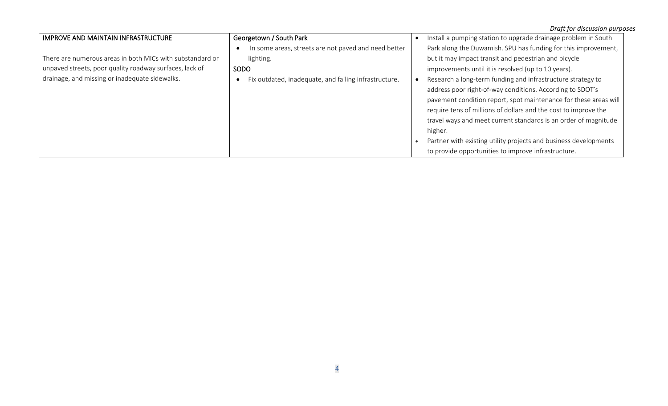|                                                           |                                                      | Draft for discussion purposes                                    |
|-----------------------------------------------------------|------------------------------------------------------|------------------------------------------------------------------|
| <b>IMPROVE AND MAINTAIN INFRASTRUCTURE</b>                | Georgetown / South Park                              | Install a pumping station to upgrade drainage problem in South   |
|                                                           | In some areas, streets are not paved and need better | Park along the Duwamish. SPU has funding for this improvement,   |
| There are numerous areas in both MICs with substandard or | lighting.                                            | but it may impact transit and pedestrian and bicycle             |
| unpaved streets, poor quality roadway surfaces, lack of   | SODO                                                 | improvements until it is resolved (up to 10 years).              |
| drainage, and missing or inadequate sidewalks.            | ix outdated, inadequate, and failing infrastructure. | Research a long-term funding and infrastructure strategy to      |
|                                                           |                                                      | address poor right-of-way conditions. According to SDOT's        |
|                                                           |                                                      | pavement condition report, spot maintenance for these areas will |
|                                                           |                                                      | require tens of millions of dollars and the cost to improve the  |
|                                                           |                                                      | travel ways and meet current standards is an order of magnitude  |
|                                                           |                                                      | higher.                                                          |
|                                                           |                                                      | Partner with existing utility projects and business developments |
|                                                           |                                                      | to provide opportunities to improve infrastructure.              |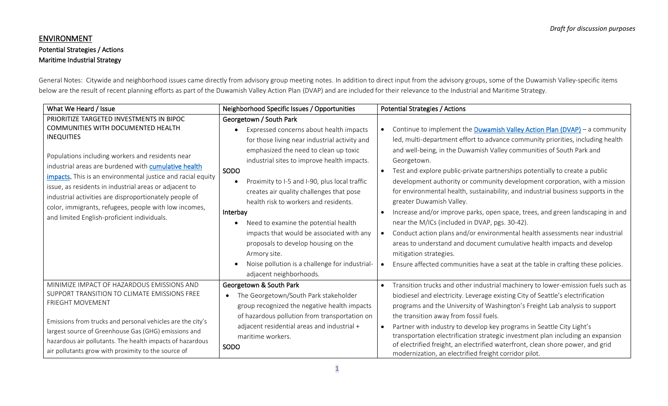# ENVIRONMENT Potential Strategies / Actions Maritime Industrial Strategy

General Notes: Citywide and neighborhood issues came directly from advisory group meeting notes. In addition to direct input from the advisory groups, some of the Duwamish Valley-specific items below are the result of recent planning efforts as part of the Duwamish Valley Action Plan (DVAP) and are included for their relevance to the Industrial and Maritime Strategy.

| What We Heard / Issue                                                                                                                                                                                                                                                                                                                                                                                                                                                                                      | Neighborhood Specific Issues / Opportunities                                                                                                                                                                                                                                                                                                                                                                                                                                                                                                                                                                | <b>Potential Strategies / Actions</b>                                                                                                                                                                                                                                                                                                                                                                                                                                                                                                                                                                                                                                                                                                                                                                                                                                                                                                         |
|------------------------------------------------------------------------------------------------------------------------------------------------------------------------------------------------------------------------------------------------------------------------------------------------------------------------------------------------------------------------------------------------------------------------------------------------------------------------------------------------------------|-------------------------------------------------------------------------------------------------------------------------------------------------------------------------------------------------------------------------------------------------------------------------------------------------------------------------------------------------------------------------------------------------------------------------------------------------------------------------------------------------------------------------------------------------------------------------------------------------------------|-----------------------------------------------------------------------------------------------------------------------------------------------------------------------------------------------------------------------------------------------------------------------------------------------------------------------------------------------------------------------------------------------------------------------------------------------------------------------------------------------------------------------------------------------------------------------------------------------------------------------------------------------------------------------------------------------------------------------------------------------------------------------------------------------------------------------------------------------------------------------------------------------------------------------------------------------|
| PRIORITIZE TARGETED INVESTMENTS IN BIPOC<br>COMMUNITIES WITH DOCUMENTED HEALTH<br><b>INEQUITIES</b><br>Populations including workers and residents near<br>industrial areas are burdened with cumulative health<br>impacts. This is an environmental justice and racial equity<br>issue, as residents in industrial areas or adjacent to<br>industrial activities are disproportionately people of<br>color, immigrants, refugees, people with low incomes,<br>and limited English-proficient individuals. | Georgetown / South Park<br>Expressed concerns about health impacts<br>for those living near industrial activity and<br>emphasized the need to clean up toxic<br>industrial sites to improve health impacts.<br>SODO<br>Proximity to I-5 and I-90, plus local traffic<br>creates air quality challenges that pose<br>health risk to workers and residents.<br>Interbay<br>Need to examine the potential health<br>$\bullet$<br>impacts that would be associated with any<br>proposals to develop housing on the<br>Armory site.<br>Noise pollution is a challenge for industrial-<br>adjacent neighborhoods. | Continue to implement the Duwamish Valley Action Plan (DVAP) - a community<br>led, multi-department effort to advance community priorities, including health<br>and well-being, in the Duwamish Valley communities of South Park and<br>Georgetown.<br>Test and explore public-private partnerships potentially to create a public<br>development authority or community development corporation, with a mission<br>for environmental health, sustainability, and industrial business supports in the<br>greater Duwamish Valley.<br>Increase and/or improve parks, open space, trees, and green landscaping in and<br>near the M/ICs (included in DVAP, pgs. 30-42).<br>Conduct action plans and/or environmental health assessments near industrial<br>areas to understand and document cumulative health impacts and develop<br>mitigation strategies.<br>Ensure affected communities have a seat at the table in crafting these policies. |
| MINIMIZE IMPACT OF HAZARDOUS EMISSIONS AND<br>SUPPORT TRANSITION TO CLIMATE EMISSIONS FREE<br><b>FRIEGHT MOVEMENT</b><br>Emissions from trucks and personal vehicles are the city's<br>largest source of Greenhouse Gas (GHG) emissions and<br>hazardous air pollutants. The health impacts of hazardous<br>air pollutants grow with proximity to the source of                                                                                                                                            | Georgetown & South Park<br>The Georgetown/South Park stakeholder<br>$\bullet$<br>group recognized the negative health impacts<br>of hazardous pollution from transportation on<br>adjacent residential areas and industrial +<br>maritime workers.<br>SODO                                                                                                                                                                                                                                                                                                                                                  | Transition trucks and other industrial machinery to lower-emission fuels such as<br>biodiesel and electricity. Leverage existing City of Seattle's electrification<br>programs and the University of Washington's Freight Lab analysis to support<br>the transition away from fossil fuels.<br>Partner with industry to develop key programs in Seattle City Light's<br>transportation electrification strategic investment plan including an expansion<br>of electrified freight, an electrified waterfront, clean shore power, and grid<br>modernization, an electrified freight corridor pilot.                                                                                                                                                                                                                                                                                                                                            |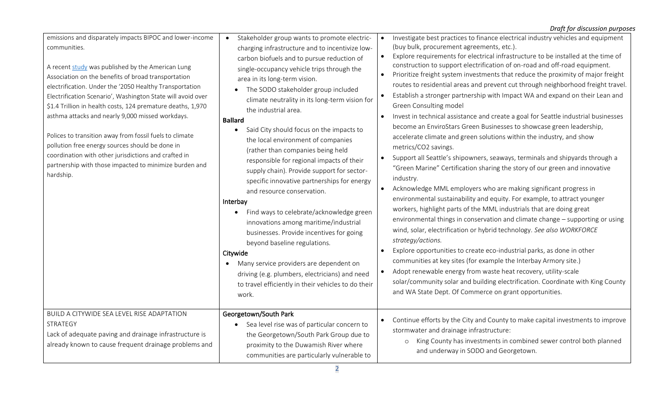| emissions and disparately impacts BIPOC and lower-income<br>communities.<br>A recent study was published by the American Lung<br>Association on the benefits of broad transportation<br>electrification. Under the '2050 Healthy Transportation<br>Electrification Scenario', Washington State will avoid over<br>\$1.4 Trillion in health costs, 124 premature deaths, 1,970<br>asthma attacks and nearly 9,000 missed workdays.<br>Polices to transition away from fossil fuels to climate<br>pollution free energy sources should be done in<br>coordination with other jurisdictions and crafted in<br>partnership with those impacted to minimize burden and<br>hardship. | Stakeholder group wants to promote electric-<br>$\bullet$<br>charging infrastructure and to incentivize low-<br>carbon biofuels and to pursue reduction of<br>single-occupancy vehicle trips through the<br>area in its long-term vision.<br>The SODO stakeholder group included<br>climate neutrality in its long-term vision for<br>the industrial area.<br><b>Ballard</b><br>Said City should focus on the impacts to<br>$\bullet$<br>the local environment of companies<br>(rather than companies being held<br>responsible for regional impacts of their<br>supply chain). Provide support for sector-<br>specific innovative partnerships for energy<br>and resource conservation.<br>Interbay<br>Find ways to celebrate/acknowledge green<br>$\bullet$<br>innovations among maritime/industrial<br>businesses. Provide incentives for going<br>beyond baseline regulations.<br>Citywide<br>Many service providers are dependent on<br>$\bullet$<br>driving (e.g. plumbers, electricians) and need<br>to travel efficiently in their vehicles to do their<br>work. | $\bullet$<br>$\bullet$<br>$\bullet$<br>$\bullet$<br>$\bullet$<br>$\bullet$<br>$\bullet$<br>$\bullet$ | Investigate best practices to finance electrical industry vehicles and equipment<br>(buy bulk, procurement agreements, etc.).<br>Explore requirements for electrical infrastructure to be installed at the time of<br>construction to support electrification of on-road and off-road equipment.<br>Prioritize freight system investments that reduce the proximity of major freight<br>routes to residential areas and prevent cut through neighborhood freight travel.<br>Establish a stronger partnership with Impact WA and expand on their Lean and<br>Green Consulting model<br>Invest in technical assistance and create a goal for Seattle industrial businesses<br>become an EnviroStars Green Businesses to showcase green leadership,<br>accelerate climate and green solutions within the industry, and show<br>metrics/CO2 savings.<br>Support all Seattle's shipowners, seaways, terminals and shipyards through a<br>"Green Marine" Certification sharing the story of our green and innovative<br>industry.<br>Acknowledge MML employers who are making significant progress in<br>environmental sustainability and equity. For example, to attract younger<br>workers, highlight parts of the MML industrials that are doing great<br>environmental things in conservation and climate change - supporting or using<br>wind, solar, electrification or hybrid technology. See also WORKFORCE<br>strategy/actions.<br>Explore opportunities to create eco-industrial parks, as done in other<br>communities at key sites (for example the Interbay Armory site.)<br>Adopt renewable energy from waste heat recovery, utility-scale<br>solar/community solar and building electrification. Coordinate with King County<br>and WA State Dept. Of Commerce on grant opportunities. |
|--------------------------------------------------------------------------------------------------------------------------------------------------------------------------------------------------------------------------------------------------------------------------------------------------------------------------------------------------------------------------------------------------------------------------------------------------------------------------------------------------------------------------------------------------------------------------------------------------------------------------------------------------------------------------------|--------------------------------------------------------------------------------------------------------------------------------------------------------------------------------------------------------------------------------------------------------------------------------------------------------------------------------------------------------------------------------------------------------------------------------------------------------------------------------------------------------------------------------------------------------------------------------------------------------------------------------------------------------------------------------------------------------------------------------------------------------------------------------------------------------------------------------------------------------------------------------------------------------------------------------------------------------------------------------------------------------------------------------------------------------------------------|------------------------------------------------------------------------------------------------------|-------------------------------------------------------------------------------------------------------------------------------------------------------------------------------------------------------------------------------------------------------------------------------------------------------------------------------------------------------------------------------------------------------------------------------------------------------------------------------------------------------------------------------------------------------------------------------------------------------------------------------------------------------------------------------------------------------------------------------------------------------------------------------------------------------------------------------------------------------------------------------------------------------------------------------------------------------------------------------------------------------------------------------------------------------------------------------------------------------------------------------------------------------------------------------------------------------------------------------------------------------------------------------------------------------------------------------------------------------------------------------------------------------------------------------------------------------------------------------------------------------------------------------------------------------------------------------------------------------------------------------------------------------------------------------------------------------------------------------------------------------------------------------------------------|
| BUILD A CITYWIDE SEA LEVEL RISE ADAPTATION<br>STRATEGY<br>Lack of adequate paving and drainage infrastructure is<br>already known to cause frequent drainage problems and                                                                                                                                                                                                                                                                                                                                                                                                                                                                                                      | Georgetown/South Park<br>Sea level rise was of particular concern to<br>$\bullet$<br>the Georgetown/South Park Group due to<br>proximity to the Duwamish River where<br>communities are particularly vulnerable to                                                                                                                                                                                                                                                                                                                                                                                                                                                                                                                                                                                                                                                                                                                                                                                                                                                       | $\bullet$                                                                                            | Continue efforts by the City and County to make capital investments to improve<br>stormwater and drainage infrastructure:<br>King County has investments in combined sewer control both planned<br>$\circ$<br>and underway in SODO and Georgetown.                                                                                                                                                                                                                                                                                                                                                                                                                                                                                                                                                                                                                                                                                                                                                                                                                                                                                                                                                                                                                                                                                                                                                                                                                                                                                                                                                                                                                                                                                                                                              |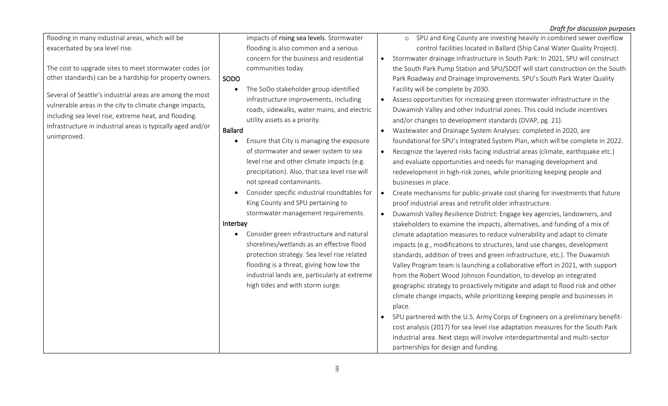#### *Draft for discussion purposes* flooding in many industrial areas, which will be exacerbated by sea level rise. The cost to upgrade sites to meet stormwater codes (or other standards) can be a hardship for property owners. Several of Seattle's industrial areas are among the most vulnerable areas in the city to climate change impacts, including sea level rise, extreme heat, and flooding. Infrastructure in industrial areas is typically aged and/or unimproved. impacts of [rising sea levels](http://seattlecitygis.maps.arcgis.com/apps/webappviewer/index.html?id=531658b7209e46acbaed730574214353). Stormwater flooding is also common and a serious concern for the business and residential communities today. SODO • The SoDo stakeholder group identified infrastructure improvements, including roads, sidewalks, water mains, and electric utility assets as a priority. Ballard • Ensure that City is managing the exposure of stormwater and sewer system to sea level rise and other climate impacts (e.g. precipitation). Also, that sea level rise will not spread contaminants. • Consider specific industrial roundtables for King County and SPU pertaining to stormwater management requirements. Interbay • Consider green infrastructure and natural shorelines/wetlands as an effective flood protection strategy. Sea level rise related flooding is a threat, giving how low the industrial lands are, particularly at extreme high tides and with storm surge. o SPU and King County are investing heavily in combined sewer overflow control facilities located in Ballard (Ship Canal Water Quality Project). • Stormwater drainage infrastructure in South Park: In 2021, SPU will construct the South Park Pump Station and SPU/SDOT will start construction on the South Park Roadway and Drainage Improvements. SPU's South Park Water Quality Facility will be complete by 2030. • Assess opportunities for increasing green stormwater infrastructure in the Duwamish Valley and other industrial zones. This could include incentives and/or changes to development standards (DVAP, pg. 21). • Wastewater and Drainage System Analyses: completed in 2020, are foundational for SPU's Integrated System Plan, which will be complete in 2022. • Recognize the layered risks facing industrial areas (climate, earthquake etc.) and evaluate opportunities and needs for managing development and redevelopment in high-risk zones, while prioritizing keeping people and businesses in place. • Create mechanisms for public-private cost sharing for investments that future proof industrial areas and retrofit older infrastructure. • Duwamish Valley Resilience District: Engage key agencies, landowners, and stakeholders to examine the impacts, alternatives, and funding of a mix of climate adaptation measures to reduce vulnerability and adapt to climate impacts (e.g., modifications to structures, land use changes, development standards, addition of trees and green infrastructure, etc.). The Duwamish Valley Program team is launching a collaborative effort in 2021, with support from the Robert Wood Johnson Foundation, to develop an integrated geographic strategy to proactively mitigate and adapt to flood risk and other climate change impacts, while prioritizing keeping people and businesses in place. • SPU partnered with the U.S. Army Corps of Engineers on a preliminary benefitcost analysis (2017) for sea level rise adaptation measures for the South Park Industrial area. Next steps will involve interdepartmental and multi-sector partnerships for design and funding.